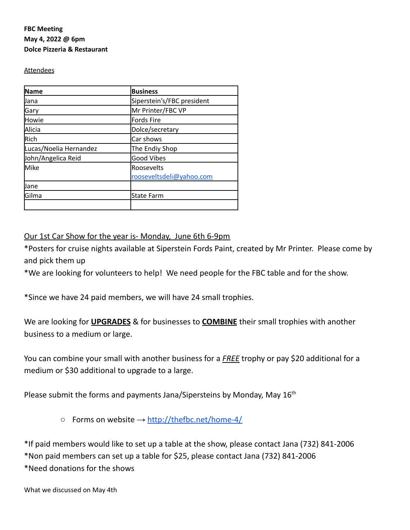# **FBC Meeting May 4, 2022 @ 6pm Dolce Pizzeria & Restaurant**

### **Attendees**

| <b>Name</b>            | <b>Business</b>            |
|------------------------|----------------------------|
| Uana                   | Siperstein's/FBC president |
| Gary                   | Mr Printer/FBC VP          |
| Howie                  | <b>Fords Fire</b>          |
| Alicia                 | Dolce/secretary            |
| Rich                   | Car shows                  |
| Lucas/Noelia Hernandez | The Endiy Shop             |
| John/Angelica Reid     | <b>Good Vibes</b>          |
| Mike                   | Roosevelts                 |
|                        | rooseveltsdeli@yahoo.com   |
| Jane                   |                            |
| Gilma                  | <b>State Farm</b>          |
|                        |                            |

# Our 1st Car Show for the year is- Monday, June 6th 6-9pm

\*Posters for cruise nights available at Siperstein Fords Paint, created by Mr Printer. Please come by and pick them up

\*We are looking for volunteers to help! We need people for the FBC table and for the show.

\*Since we have 24 paid members, we will have 24 small trophies.

We are looking for **UPGRADES** & for businesses to **COMBINE** their small trophies with another business to a medium or large.

You can combine your small with another business for a *FREE* trophy or pay \$20 additional for a medium or \$30 additional to upgrade to a large.

Please submit the forms and payments Jana/Sipersteins by Monday, May  $16^{\text{th}}$ 

 $\circ$  Forms on website  $\rightarrow$  <http://thefbc.net/home-4/>

\*If paid members would like to set up a table at the show, please contact Jana (732) 841-2006 \*Non paid members can set up a table for \$25, please contact Jana (732) 841-2006 \*Need donations for the shows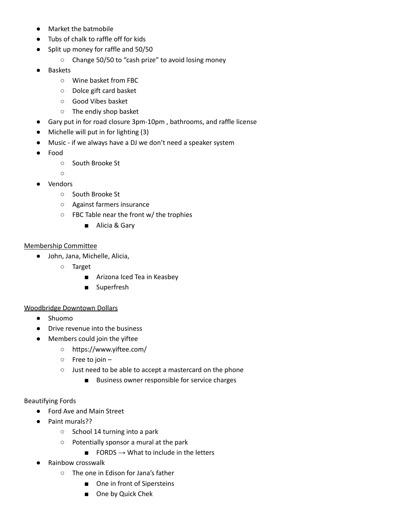- Market the batmobile
- Tubs of chalk to raffle off for kids
- Split up money for raffle and 50/50
	- Change 50/50 to "cash prize" to avoid losing money
- **Baskets** 
	- Wine basket from FBC
	- Dolce gift card basket
	- Good Vibes basket
	- The endiy shop basket
- Gary put in for road closure 3pm-10pm , bathrooms, and raffle license
- Michelle will put in for lighting (3)
- Music if we always have a DJ we don't need a speaker system
- Food
	- South Brooke St
	- $\circ$
- **Vendors** 
	- South Brooke St
	- Against farmers insurance
	- FBC Table near the front w/ the trophies
		- Alicia & Gary

### Membership Committee

- John, Jana, Michelle, Alicia,
	- Target
		- Arizona Iced Tea in Keasbey
		- Superfresh

### Woodbridge Downtown Dollars

- Shuomo
- Drive revenue into the business
- Members could join the yiftee
	- https://www.yiftee.com/
	- Free to join –
	- Just need to be able to accept a mastercard on the phone
		- Business owner responsible for service charges

### Beautifying Fords

- Ford Ave and Main Street
- Paint murals??
	- School 14 turning into a park
	- Potentially sponsor a mural at the park
		- $\blacksquare$  FORDS  $\rightarrow$  What to include in the letters
- Rainbow crosswalk
	- The one in Edison for Jana's father
		- One in front of Sipersteins
		- One by Quick Chek